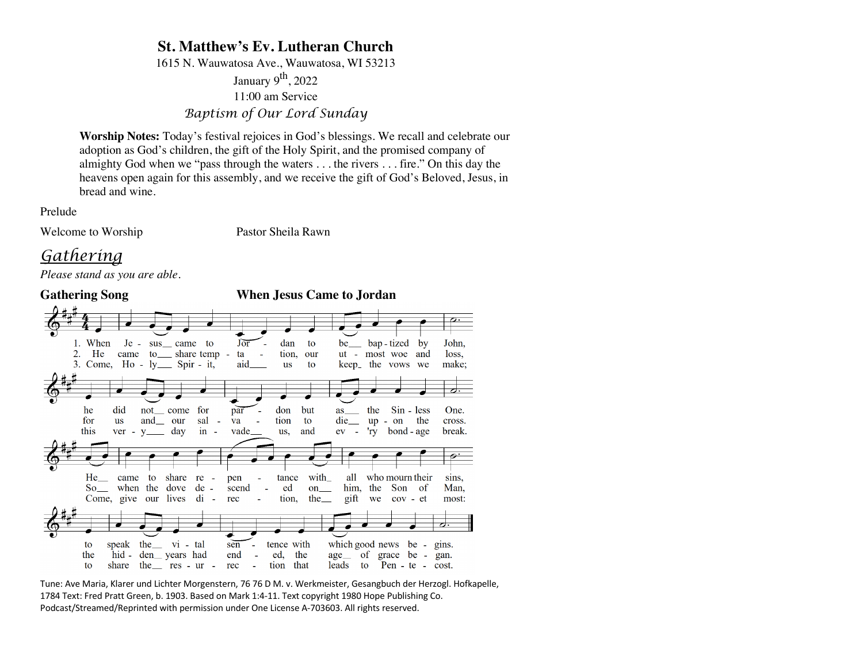## **St. Matthew's Ev. Lutheran Church**

1615 N. Wauwatosa Ave., Wauwatosa, WI 53213

January 9<sup>th</sup>, 2022 11:00 am Service *Baptism of Our Lord Sunday*

**Worship Notes:** Today's festival rejoices in God's blessings. We recall and celebrate our adoption as God's children, the gift of the Holy Spirit, and the promised company of almighty God when we "pass through the waters . . . the rivers . . . fire." On this day the heavens open again for this assembly, and we receive the gift of God's Beloved, Jesus, in bread and wine.

Prelude

Welcome to Worship Pastor Sheila Rawn

# *Gathering*

*Please stand as you are able.*



Tune: Ave Maria, Klarer und Lichter Morgenstern, 76 76 D M. v. Werkmeister, Gesangbuch der Herzogl. Hofkapelle, 1784 Text: Fred Pratt Green, b. 1903. Based on Mark 1:4-11. Text copyright 1980 Hope Publishing Co. Podcast/Streamed/Reprinted with permission under One License A-703603. All rights reserved.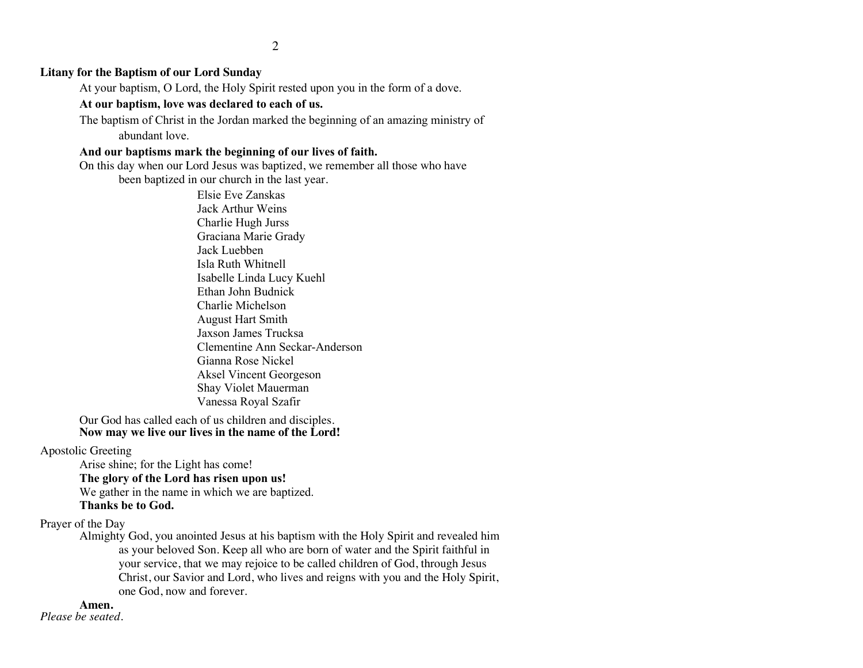### **Litany for the Baptism of our Lord Sunday**

At your baptism, O Lord, the Holy Spirit rested upon you in the form of a dove.

#### **At our baptism, love was declared to each of us.**

The baptism of Christ in the Jordan marked the beginning of an amazing ministry of abundant love.

#### **And our baptisms mark the beginning of our lives of faith.**

On this day when our Lord Jesus was baptized, we remember all those who have been baptized in our church in the last year.

> Elsie Eve Zanskas Jack Arthur Weins Charlie Hugh Jurss Graciana Marie Grady Jack Luebben Isla Ruth Whitnell Isabelle Linda Lucy Kuehl Ethan John Budnick Charlie Michelson August Hart Smith Jaxson James Trucksa Clementine Ann Seckar-Anderson Gianna Rose Nickel Aksel Vincent Georgeson Shay Violet Mauerman Vanessa Royal Szafir

Our God has called each of us children and disciples. **Now may we live our lives in the name of the Lord!**

### Apostolic Greeting

Arise shine; for the Light has come!

#### **The glory of the Lord has risen upon us!**

We gather in the name in which we are baptized.

#### **Thanks be to God.**

Prayer of the Day

Almighty God, you anointed Jesus at his baptism with the Holy Spirit and revealed him as your beloved Son. Keep all who are born of water and the Spirit faithful in your service, that we may rejoice to be called children of God, through Jesus Christ, our Savior and Lord, who lives and reigns with you and the Holy Spirit, one God, now and forever.

### **Amen.**

*Please be seated.*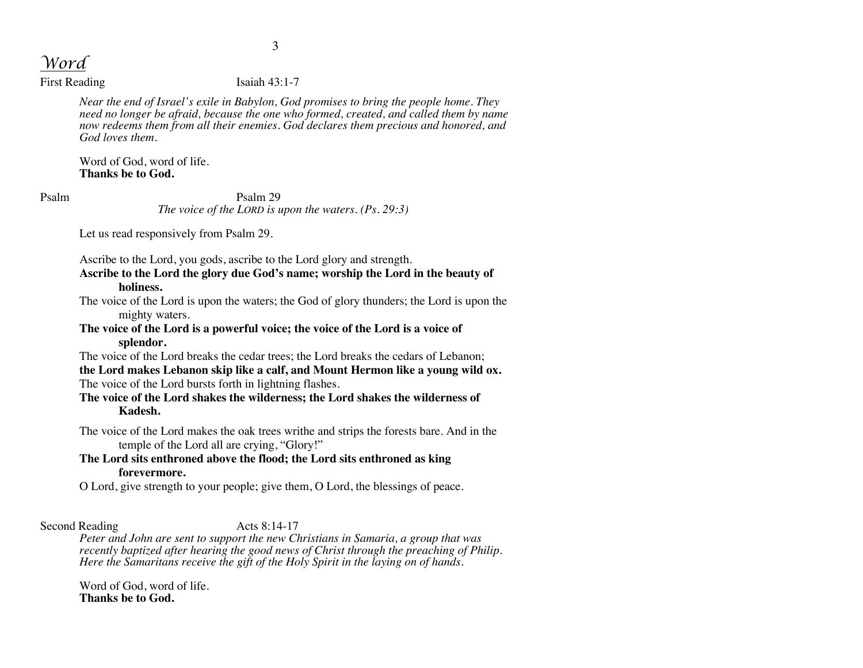*Word*

First Reading Isaiah 43:1-7

*Near the end of Israel's exile in Babylon, God promises to bring the people home. They need no longer be afraid, because the one who formed, created, and called them by name now redeems them from all their enemies. God declares them precious and honored, and God loves them.*

Word of God, word of life. **Thanks be to God.**

Psalm Psalm 29 *The voice of the LORD is upon the waters. (Ps. 29:3)*

Let us read responsively from Psalm 29.

Ascribe to the Lord, you gods, ascribe to the Lord glory and strength.

**Ascribe to the Lord the glory due God's name; worship the Lord in the beauty of holiness.**

The voice of the Lord is upon the waters; the God of glory thunders; the Lord is upon the mighty waters.

**The voice of the Lord is a powerful voice; the voice of the Lord is a voice of splendor.**

The voice of the Lord breaks the cedar trees; the Lord breaks the cedars of Lebanon;

**the Lord makes Lebanon skip like a calf, and Mount Hermon like a young wild ox.**  The voice of the Lord bursts forth in lightning flashes.

**The voice of the Lord shakes the wilderness; the Lord shakes the wilderness of Kadesh.**

The voice of the Lord makes the oak trees writhe and strips the forests bare. And in the temple of the Lord all are crying, "Glory!"

## **The Lord sits enthroned above the flood; the Lord sits enthroned as king forevermore.**

O Lord, give strength to your people; give them, O Lord, the blessings of peace.

Second Reading Acts 8:14-17

*Peter and John are sent to support the new Christians in Samaria, a group that was recently baptized after hearing the good news of Christ through the preaching of Philip.*  Here the Samaritans receive the gift of the Holy Spirit in the laying on of hands.

Word of God, word of life. **Thanks be to God.**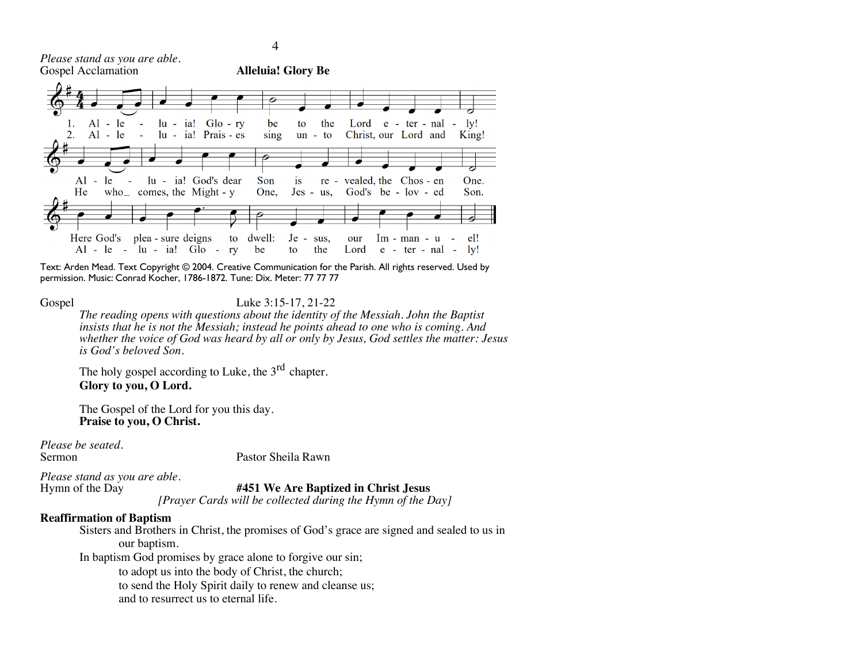*Please stand as you are able.*



Text: Arden Mead. Text Copyright © 2004. Creative Communication for the Parish. All rights reserved. Used by permission. Music: Conrad Kocher, 1786-1872. Tune: Dix. Meter: 77 77 77

Gospel Luke 3:15-17, 21-22

*The reading opens with questions about the identity of the Messiah. John the Baptist insists that he is not the Messiah; instead he points ahead to one who is coming. And whether the voice of God was heard by all or only by Jesus, God settles the matter: Jesus is God's beloved Son.*

The holy gospel according to Luke, the  $3<sup>rd</sup>$  chapter. **Glory to you, O Lord.**

The Gospel of the Lord for you this day. **Praise to you, O Christ.**

*Please be seated.*

Sermon Pastor Sheila Rawn

*Please stand as you are able.*

Hymn of the Day **#451 We Are Baptized in Christ Jesus**

*[Prayer Cards will be collected during the Hymn of the Day]*

#### **Reaffirmation of Baptism**

Sisters and Brothers in Christ, the promises of God's grace are signed and sealed to us in our baptism.

In baptism God promises by grace alone to forgive our sin;

to adopt us into the body of Christ, the church;

to send the Holy Spirit daily to renew and cleanse us;

and to resurrect us to eternal life.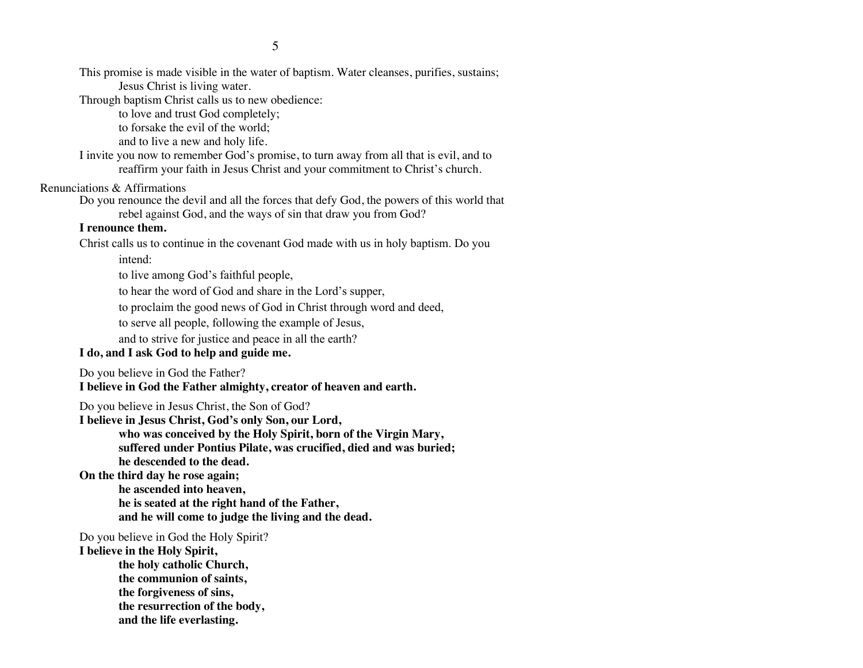This promise is made visible in the water of baptism. Water cleanses, purifies, sustains; Jesus Christ is living water.

Through baptism Christ calls us to new obedience:

to love and trust God completely;

to forsake the evil of the world;

and to live a new and holy life.

I invite you now to remember God's promise, to turn away from all that is evil, and to reaffirm your faith in Jesus Christ and your commitment to Christ's church.

## Renunciations & Affirmations

Do you renounce the devil and all the forces that defy God, the powers of this world that rebel against God, and the ways of sin that draw you from God?

## **I renounce them.**

Christ calls us to continue in the covenant God made with us in holy baptism. Do you intend:

to live among God's faithful people,

to hear the word of God and share in the Lord's supper,

to proclaim the good news of God in Christ through word and deed,

to serve all people, following the example of Jesus,

and to strive for justice and peace in all the earth?

## **I do, and I ask God to help and guide me.**

Do you believe in God the Father?

**I believe in God the Father almighty, creator of heaven and earth.**

Do you believe in Jesus Christ, the Son of God?

**I believe in Jesus Christ, God's only Son, our Lord, who was conceived by the Holy Spirit, born of the Virgin Mary, suffered under Pontius Pilate, was crucified, died and was buried; he descended to the dead.**

**On the third day he rose again; he ascended into heaven, he is seated at the right hand of the Father, and he will come to judge the living and the dead.**

Do you believe in God the Holy Spirit?

**I believe in the Holy Spirit,**

**the holy catholic Church,**

**the communion of saints,**

**the forgiveness of sins,**

**the resurrection of the body,**

**and the life everlasting.**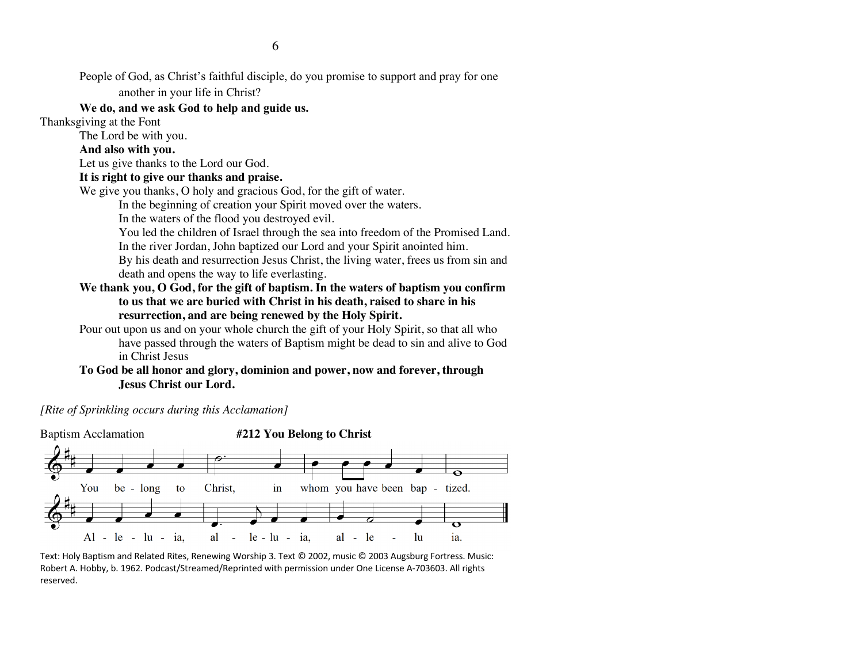People of God, as Christ's faithful disciple, do you promise to support and pray for one another in your life in Christ?

## **We do, and we ask God to help and guide us.**

Thanksgiving at the Font

The Lord be with you.

## **And also with you.**

Let us give thanks to the Lord our God.

## **It is right to give our thanks and praise.**

We give you thanks, O holy and gracious God, for the gift of water.

In the beginning of creation your Spirit moved over the waters.

In the waters of the flood you destroyed evil.

You led the children of Israel through the sea into freedom of the Promised Land. In the river Jordan, John baptized our Lord and your Spirit anointed him.

By his death and resurrection Jesus Christ, the living water, frees us from sin and death and opens the way to life everlasting.

- **We thank you, O God, for the gift of baptism. In the waters of baptism you confirm to us that we are buried with Christ in his death, raised to share in his resurrection, and are being renewed by the Holy Spirit.**
- Pour out upon us and on your whole church the gift of your Holy Spirit, so that all who have passed through the waters of Baptism might be dead to sin and alive to God in Christ Jesus

## **To God be all honor and glory, dominion and power, now and forever, through Jesus Christ our Lord.**

*[Rite of Sprinkling occurs during this Acclamation]*



Text: Holy Baptism and Related Rites, Renewing Worship 3. Text © 2002, music © 2003 Augsburg Fortress. Music: Robert A. Hobby, b. 1962. Podcast/Streamed/Reprinted with permission under One License A-703603. All rights reserved.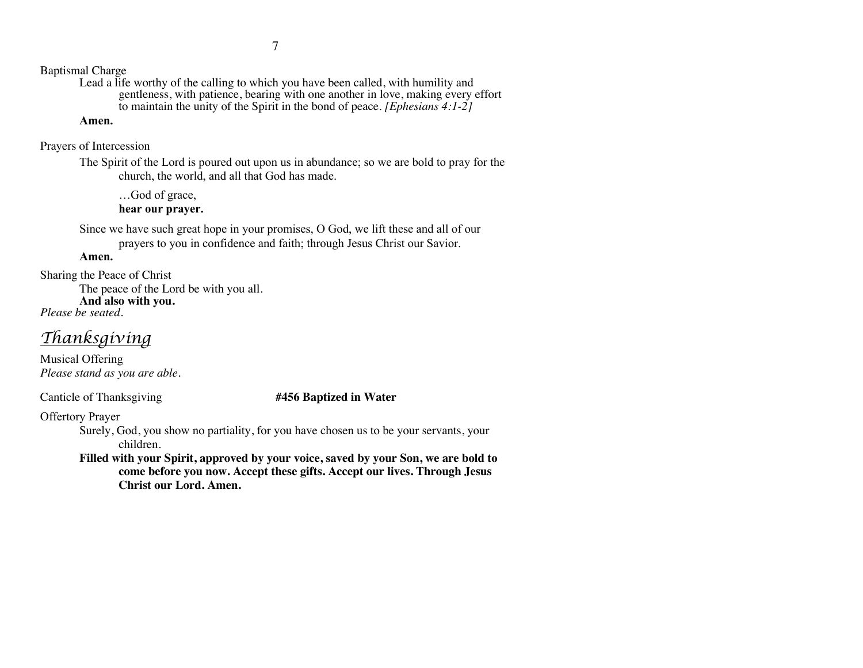7

Baptismal Charge

Lead a life worthy of the calling to which you have been called, with humility and gentleness, with patience, bearing with one another in love, making every effort to maintain the unity of the Spirit in the bond of peace. *[Ephesians 4:1-2]*

## **Amen.**

Prayers of Intercession

The Spirit of the Lord is poured out upon us in abundance; so we are bold to pray for the church, the world, and all that God has made.

…God of grace, **hear our prayer.**

Since we have such great hope in your promises, O God, we lift these and all of our prayers to you in confidence and faith; through Jesus Christ our Savior.

**Amen.**

Sharing the Peace of Christ

The peace of the Lord be with you all. **And also with you.**

*Please be seated.*

## *Thanksgiving*

Musical Offering *Please stand as you are able.*

Canticle of Thanksgiving **#456 Baptized in Water**

Offertory Prayer

Surely, God, you show no partiality, for you have chosen us to be your servants, your children.

**Filled with your Spirit, approved by your voice, saved by your Son, we are bold to come before you now. Accept these gifts. Accept our lives. Through Jesus Christ our Lord. Amen.**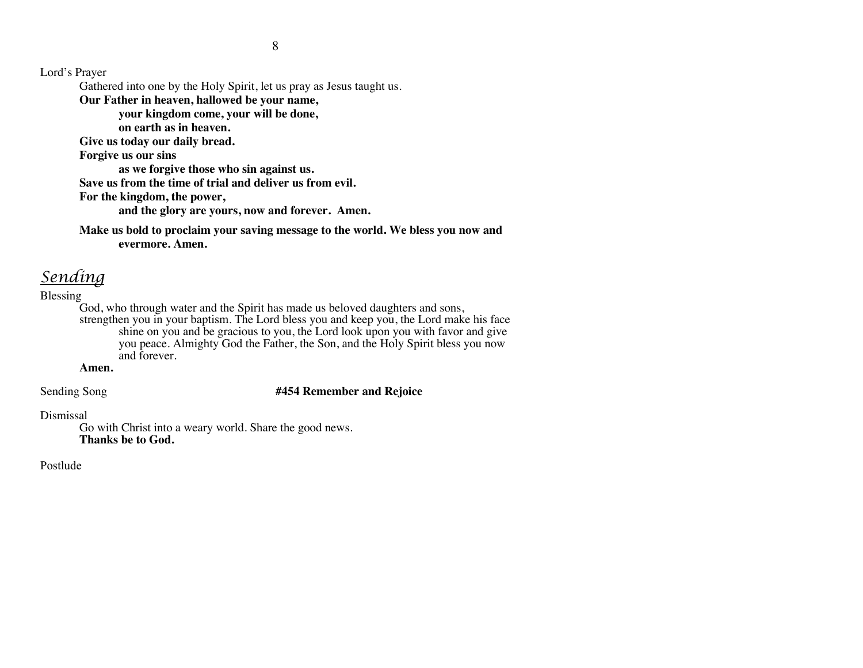Lord's Prayer

Gathered into one by the Holy Spirit, let us pray as Jesus taught us.

**Our Father in heaven, hallowed be your name,** 

**your kingdom come, your will be done,** 

**on earth as in heaven.**

**Give us today our daily bread.** 

**Forgive us our sins** 

**as we forgive those who sin against us.** 

**Save us from the time of trial and deliver us from evil.**

**For the kingdom, the power,** 

**and the glory are yours, now and forever. Amen.**

**Make us bold to proclaim your saving message to the world. We bless you now and evermore. Amen.**

# *Sending*

## Blessing

God, who through water and the Spirit has made us beloved daughters and sons, strengthen you in your baptism. The Lord bless you and keep you, the Lord make his face

shine on you and be gracious to you, the Lord look upon you with favor and give you peace. Almighty God the Father, the Son, and the Holy Spirit bless you now and forever.

## **Amen.**

Sending Song **#454 Remember and Rejoice**

## Dismissal

Go with Christ into a weary world. Share the good news. **Thanks be to God.**

Postlude